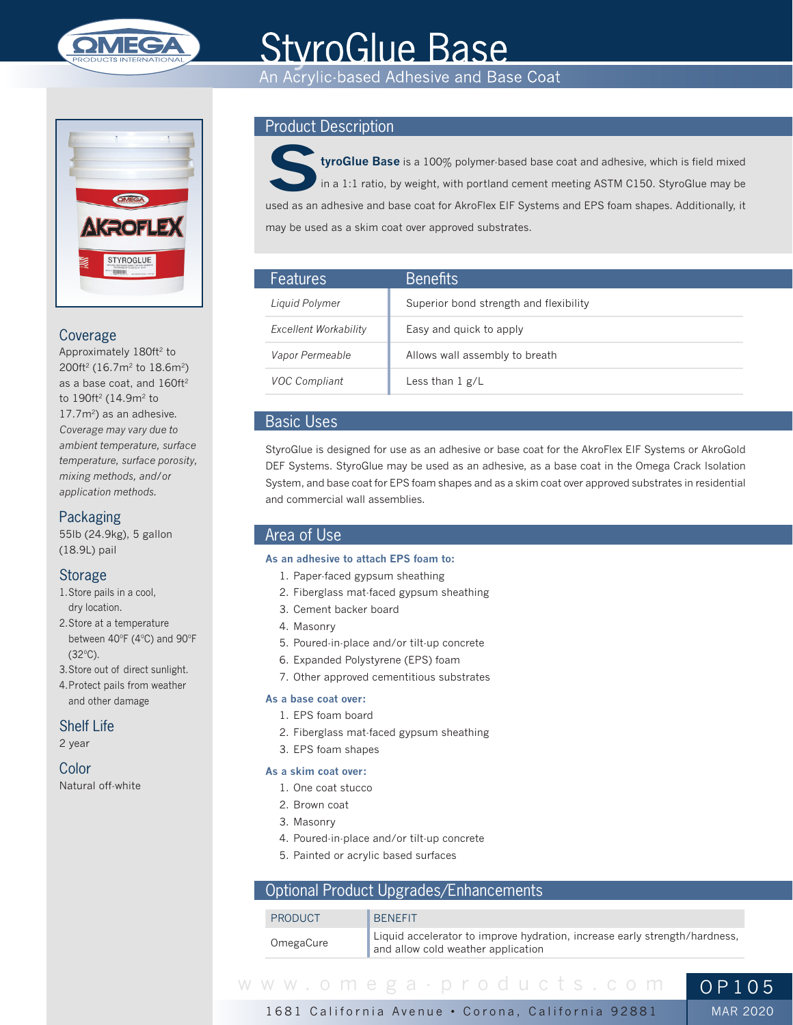

# **StyroGlue Base**

An Acrylic-based Adhesive and Base Coat



## Coverage

Approximately 180ft<sup>2</sup> to 200ft2 (16.7m2 to 18.6m2) as a base coat, and 160ft<sup>2</sup> to 190ft<sup>2</sup> (14.9m<sup>2</sup> to 17.7m<sup>2</sup>) as an adhesive. *Coverage may vary due to ambient temperature, surface temperature, surface porosity, mixing methods, and/or application methods.*

# **Packaging**

55lb (24.9kg), 5 gallon (18.9L) pail

# Storage

- 1.Store pails in a cool, dry location.
- 2.Store at a temperature between 40ºF (4ºC) and 90ºF (32ºC).
- 3.Store out of direct sunlight.
- 4.Protect pails from weather and other damage

## Shelf Life

2 year

# Color

Natural off-white

# Product Description



**StyroGlue Base** is a 100% polymer-based base coat and adhesive, which is field mixed in a 1:1 ratio, by weight, with portland cement meeting ASTM C150. StyroGlue may be used as an adhesive and base coat for AkroFlex EIF Systems and EPS foam shapes. Additionally, it may be used as a skim coat over approved substrates.

| <b>Features</b>       | <b>Benefits</b>                        |
|-----------------------|----------------------------------------|
| Liquid Polymer        | Superior bond strength and flexibility |
| Excellent Workability | Easy and quick to apply                |
| Vapor Permeable       | Allows wall assembly to breath         |
| <b>VOC Compliant</b>  | Less than $1 g/L$                      |

# Basic Uses

StyroGlue is designed for use as an adhesive or base coat for the AkroFlex EIF Systems or AkroGold DEF Systems. StyroGlue may be used as an adhesive, as a base coat in the Omega Crack Isolation System, and base coat for EPS foam shapes and as a skim coat over approved substrates in residential and commercial wall assemblies.

# Area of Use

## **As an adhesive to attach EPS foam to:**

- 1. Paper-faced gypsum sheathing
- 2. Fiberglass mat-faced gypsum sheathing
- 3. Cement backer board
- 4. Masonry
- 5. Poured-in-place and/or tilt-up concrete
- 6. Expanded Polystyrene (EPS) foam
- 7. Other approved cementitious substrates

## **As a base coat over:**

- 1. EPS foam board
- 2. Fiberglass mat-faced gypsum sheathing
- 3. EPS foam shapes

## **As a skim coat over:**

- 1. One coat stucco
- 2. Brown coat
- 3. Masonry
- 4. Poured-in-place and/or tilt-up concrete
- 5. Painted or acrylic based surfaces

# Optional Product Upgrades/Enhancements

| PRODUCT   | <b>BENEFIT</b>                                                                                                   |
|-----------|------------------------------------------------------------------------------------------------------------------|
| OmegaCure | Liquid accelerator to improve hydration, increase early strength/hardness,<br>and allow cold weather application |

MAR 2020

1681 California Avenue • Corona, California 92881 www.omega-products.com OP105